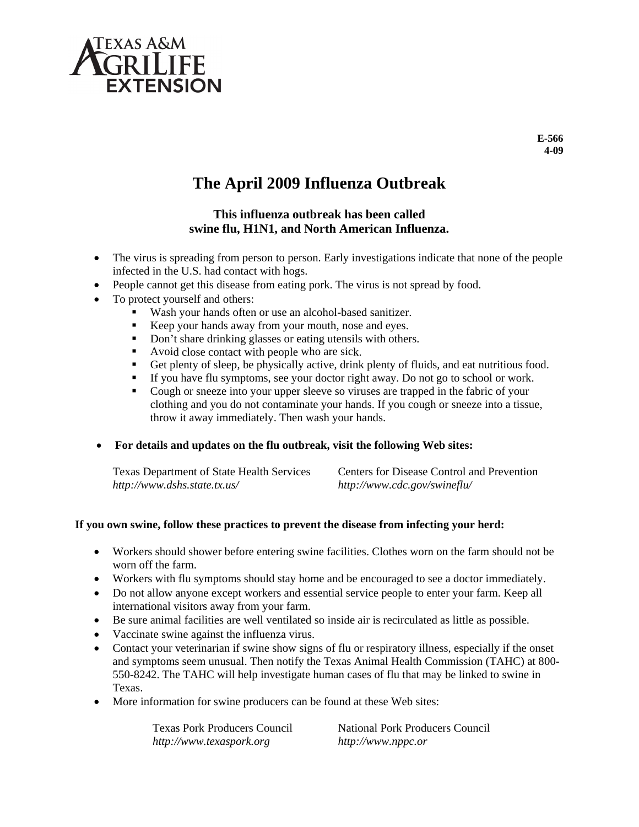

# **The April 2009 Influenza Outbreak**

### This influenza outbreak has been called swine flu, H1N1, and North American Influenza.

- The virus is spreading from person to person. Early investigations indicate that none of the people infected in the U.S. had contact with hogs.
- People cannot get this disease from eating pork. The virus is not spread by food.
- To protect yourself and others:
	- Wash your hands often or use an alcohol-based sanitizer.
	- Keep your hands away from your mouth, nose and eyes.
	- Don't share drinking glasses or eating utensils with others.
	- Avoid close contact with people who are sick.
	- Don't share drinking glasses or eating utensils with others.<br>• Avoid close contact with people who are sick.<br>• Get plenty of sleep, be physically active, drink plenty of fluids, and eat nutritious food.
	- If you have flu symptoms, see your doctor right away. Do not go to school or work.
	- Cough or sneeze into your upper sleeve so viruses are trapped in the fabric of your clothing and you do not contaminate your hands. If you cough or sneeze into a tissue, throw it away immediately. Then wash your hands.
- **•** For details and updates on the flu outbreak, visit the following Web sites:

| <b>Texas Department of State Health Services</b><br>http://www.dshs.state.tx.us/      | Centers for Disease Control and Prevention<br>http://www.cdc.gov/swineflu/                       |  |  |
|---------------------------------------------------------------------------------------|--------------------------------------------------------------------------------------------------|--|--|
| ou own swine, follow these practices to prevent the disease from infecting your herd: |                                                                                                  |  |  |
|                                                                                       | • Workers should shower before entering swine facilities. Clothes worn on the farm should not be |  |  |

### If you own swine, follow these practices to prevent the disease from infecting your herd:

- w worn off the fa arm.
- Workers with flu symptoms should stay home and be encouraged to see a doctor immediately.
- Do not allow anyone except workers and essential service people to enter your farm. Keep all international visitors away from your farm.
- Be sure animal facilities are well ventilated so inside air is recirculated as little as possible.
- Vaccinate swine against the influenza virus.
- Contact your veterinarian if swine show signs of flu or respiratory illness, especially if the onset and symptoms seem unusual. Then notify the Texas Animal Health Commission (TAHC) at 800-550-8242. The TAHC will help investigate human cases of flu that may be linked to swine in T Texas.
- More information for swine producers can be found at these Web sites:

Texas Pork Producers Council *http:// /www.texaspo ork.org*

National Pork Producers Council  *http: ://www.nppc.o or*